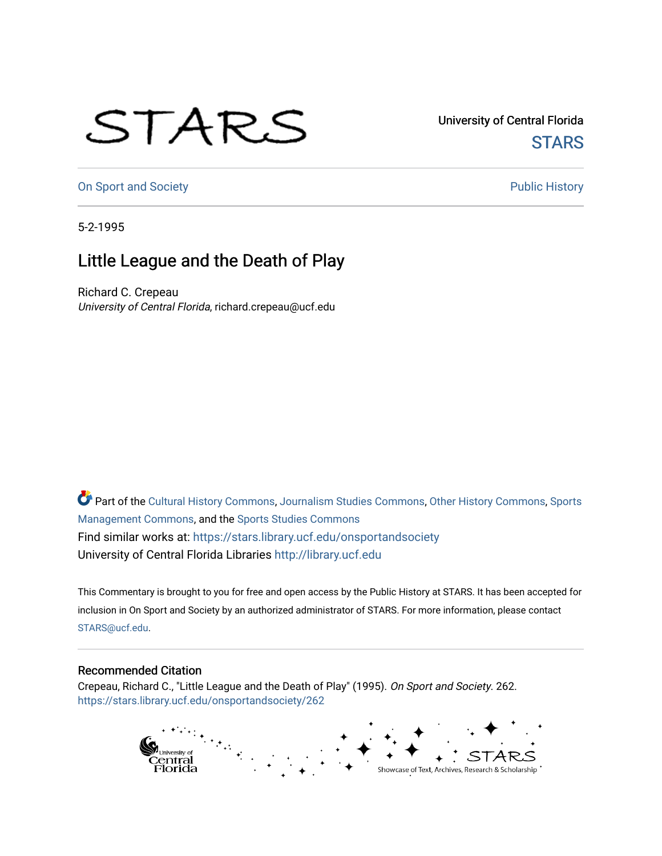## STARS

University of Central Florida **STARS** 

[On Sport and Society](https://stars.library.ucf.edu/onsportandsociety) **Public History** Public History

5-2-1995

## Little League and the Death of Play

Richard C. Crepeau University of Central Florida, richard.crepeau@ucf.edu

Part of the [Cultural History Commons](http://network.bepress.com/hgg/discipline/496?utm_source=stars.library.ucf.edu%2Fonsportandsociety%2F262&utm_medium=PDF&utm_campaign=PDFCoverPages), [Journalism Studies Commons,](http://network.bepress.com/hgg/discipline/333?utm_source=stars.library.ucf.edu%2Fonsportandsociety%2F262&utm_medium=PDF&utm_campaign=PDFCoverPages) [Other History Commons,](http://network.bepress.com/hgg/discipline/508?utm_source=stars.library.ucf.edu%2Fonsportandsociety%2F262&utm_medium=PDF&utm_campaign=PDFCoverPages) [Sports](http://network.bepress.com/hgg/discipline/1193?utm_source=stars.library.ucf.edu%2Fonsportandsociety%2F262&utm_medium=PDF&utm_campaign=PDFCoverPages) [Management Commons](http://network.bepress.com/hgg/discipline/1193?utm_source=stars.library.ucf.edu%2Fonsportandsociety%2F262&utm_medium=PDF&utm_campaign=PDFCoverPages), and the [Sports Studies Commons](http://network.bepress.com/hgg/discipline/1198?utm_source=stars.library.ucf.edu%2Fonsportandsociety%2F262&utm_medium=PDF&utm_campaign=PDFCoverPages) Find similar works at: <https://stars.library.ucf.edu/onsportandsociety> University of Central Florida Libraries [http://library.ucf.edu](http://library.ucf.edu/) 

This Commentary is brought to you for free and open access by the Public History at STARS. It has been accepted for inclusion in On Sport and Society by an authorized administrator of STARS. For more information, please contact [STARS@ucf.edu](mailto:STARS@ucf.edu).

## Recommended Citation

Crepeau, Richard C., "Little League and the Death of Play" (1995). On Sport and Society. 262. [https://stars.library.ucf.edu/onsportandsociety/262](https://stars.library.ucf.edu/onsportandsociety/262?utm_source=stars.library.ucf.edu%2Fonsportandsociety%2F262&utm_medium=PDF&utm_campaign=PDFCoverPages)

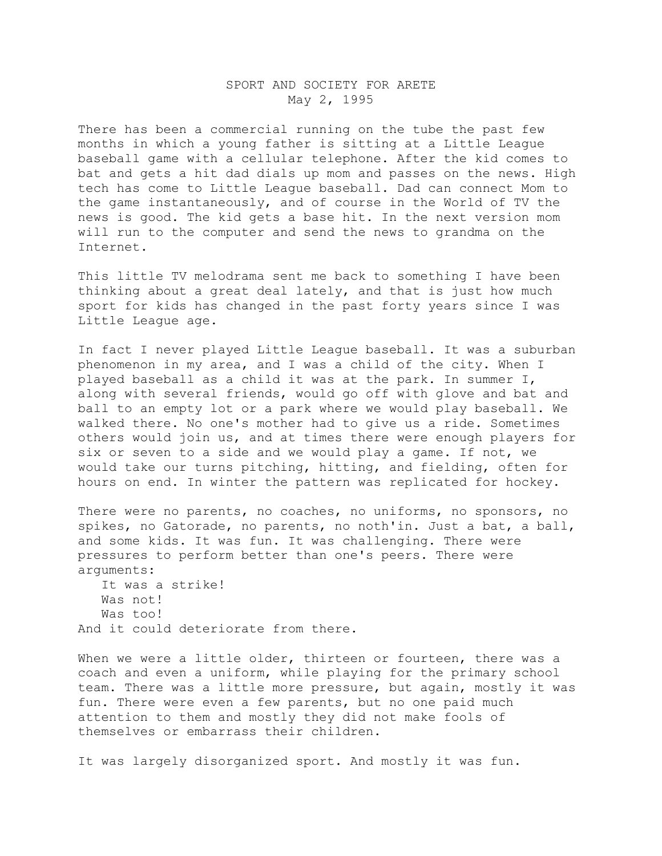## SPORT AND SOCIETY FOR ARETE May 2, 1995

There has been a commercial running on the tube the past few months in which a young father is sitting at a Little League baseball game with a cellular telephone. After the kid comes to bat and gets a hit dad dials up mom and passes on the news. High tech has come to Little League baseball. Dad can connect Mom to the game instantaneously, and of course in the World of TV the news is good. The kid gets a base hit. In the next version mom will run to the computer and send the news to grandma on the Internet.

This little TV melodrama sent me back to something I have been thinking about a great deal lately, and that is just how much sport for kids has changed in the past forty years since I was Little League age.

In fact I never played Little League baseball. It was a suburban phenomenon in my area, and I was a child of the city. When I played baseball as a child it was at the park. In summer I, along with several friends, would go off with glove and bat and ball to an empty lot or a park where we would play baseball. We walked there. No one's mother had to give us a ride. Sometimes others would join us, and at times there were enough players for six or seven to a side and we would play a game. If not, we would take our turns pitching, hitting, and fielding, often for hours on end. In winter the pattern was replicated for hockey.

There were no parents, no coaches, no uniforms, no sponsors, no spikes, no Gatorade, no parents, no noth'in. Just a bat, a ball, and some kids. It was fun. It was challenging. There were pressures to perform better than one's peers. There were arguments:

 It was a strike! Was not! Was too! And it could deteriorate from there.

When we were a little older, thirteen or fourteen, there was a coach and even a uniform, while playing for the primary school team. There was a little more pressure, but again, mostly it was fun. There were even a few parents, but no one paid much attention to them and mostly they did not make fools of themselves or embarrass their children.

It was largely disorganized sport. And mostly it was fun.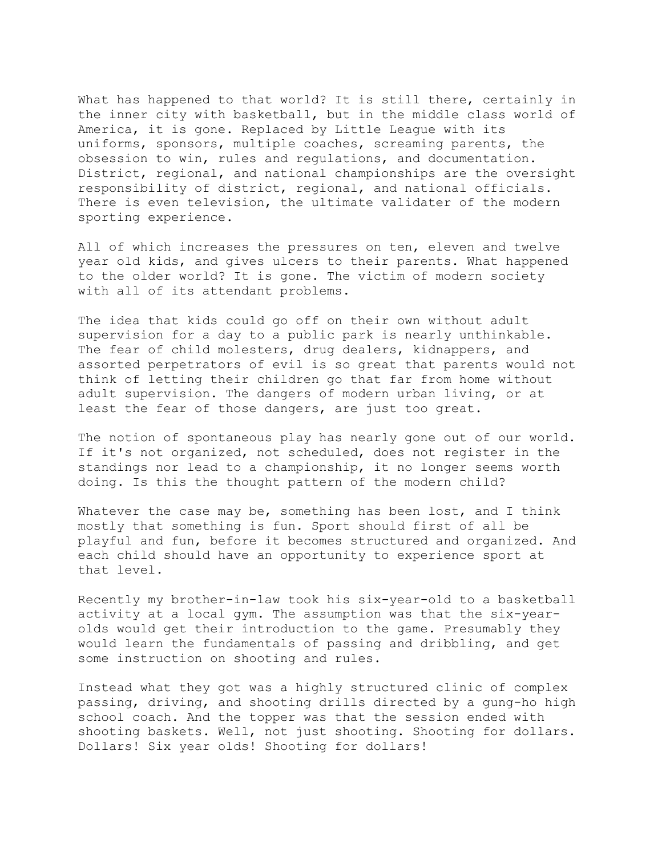What has happened to that world? It is still there, certainly in the inner city with basketball, but in the middle class world of America, it is gone. Replaced by Little League with its uniforms, sponsors, multiple coaches, screaming parents, the obsession to win, rules and regulations, and documentation. District, regional, and national championships are the oversight responsibility of district, regional, and national officials. There is even television, the ultimate validater of the modern sporting experience.

All of which increases the pressures on ten, eleven and twelve year old kids, and gives ulcers to their parents. What happened to the older world? It is gone. The victim of modern society with all of its attendant problems.

The idea that kids could go off on their own without adult supervision for a day to a public park is nearly unthinkable. The fear of child molesters, drug dealers, kidnappers, and assorted perpetrators of evil is so great that parents would not think of letting their children go that far from home without adult supervision. The dangers of modern urban living, or at least the fear of those dangers, are just too great.

The notion of spontaneous play has nearly gone out of our world. If it's not organized, not scheduled, does not register in the standings nor lead to a championship, it no longer seems worth doing. Is this the thought pattern of the modern child?

Whatever the case may be, something has been lost, and I think mostly that something is fun. Sport should first of all be playful and fun, before it becomes structured and organized. And each child should have an opportunity to experience sport at that level.

Recently my brother-in-law took his six-year-old to a basketball activity at a local gym. The assumption was that the six-yearolds would get their introduction to the game. Presumably they would learn the fundamentals of passing and dribbling, and get some instruction on shooting and rules.

Instead what they got was a highly structured clinic of complex passing, driving, and shooting drills directed by a gung-ho high school coach. And the topper was that the session ended with shooting baskets. Well, not just shooting. Shooting for dollars. Dollars! Six year olds! Shooting for dollars!